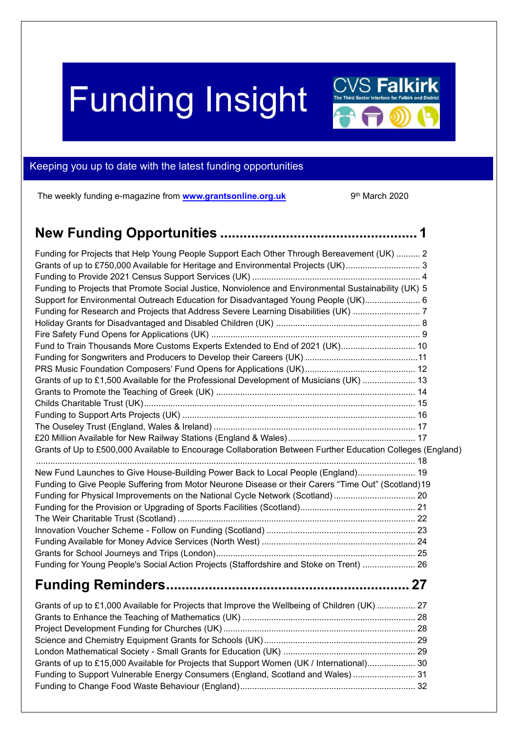# **Funding Insight**



## <span id="page-0-0"></span>Keeping you up to date with the latest funding opportunities

The weekly funding e-magazine from **[www.grantsonline.org.uk](http://www.grantsonline.org.uk/)** 9

9<sup>th</sup> March 2020

| Funding for Projects that Help Young People Support Each Other Through Bereavement (UK)  2                 |  |
|------------------------------------------------------------------------------------------------------------|--|
| Grants of up to £750,000 Available for Heritage and Environmental Projects (UK) 3                          |  |
|                                                                                                            |  |
| Funding to Projects that Promote Social Justice, Nonviolence and Environmental Sustainability (UK) 5       |  |
| Support for Environmental Outreach Education for Disadvantaged Young People (UK) 6                         |  |
| Funding for Research and Projects that Address Severe Learning Disabilities (UK)  7                        |  |
|                                                                                                            |  |
|                                                                                                            |  |
| Fund to Train Thousands More Customs Experts Extended to End of 2021 (UK) 10                               |  |
|                                                                                                            |  |
|                                                                                                            |  |
| Grants of up to £1,500 Available for the Professional Development of Musicians (UK)  13                    |  |
|                                                                                                            |  |
|                                                                                                            |  |
|                                                                                                            |  |
|                                                                                                            |  |
|                                                                                                            |  |
| Grants of Up to £500,000 Available to Encourage Collaboration Between Further Education Colleges (England) |  |
| New Fund Launches to Give House-Building Power Back to Local People (England) 19                           |  |
| Funding to Give People Suffering from Motor Neurone Disease or their Carers "Time Out" (Scotland) 19       |  |
| Funding for Physical Improvements on the National Cycle Network (Scotland)  20                             |  |
|                                                                                                            |  |
|                                                                                                            |  |
|                                                                                                            |  |
|                                                                                                            |  |
|                                                                                                            |  |
| Funding for Young People's Social Action Projects (Staffordshire and Stoke on Trent)  26                   |  |
|                                                                                                            |  |
| Grants of up to £1,000 Available for Projects that Improve the Wellbeing of Children (UK)  27              |  |
|                                                                                                            |  |
|                                                                                                            |  |
|                                                                                                            |  |
|                                                                                                            |  |
| Grants of up to £15,000 Available for Projects that Support Women (UK / International) 30                  |  |
| Funding to Support Vulnerable Energy Consumers (England, Scotland and Wales)  31                           |  |
|                                                                                                            |  |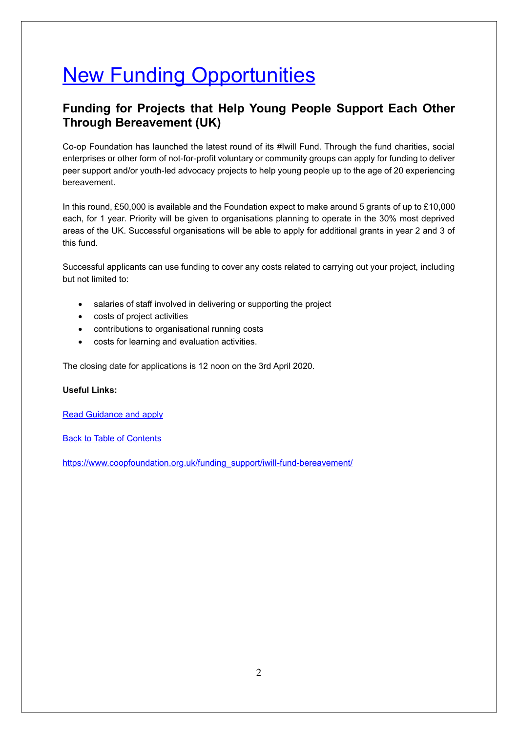## **New Funding Opportunities**

## <span id="page-1-0"></span>**Funding for Projects that Help Young People Support Each Other Through Bereavement (UK)**

Co-op Foundation has launched the latest round of its #Iwill Fund. Through the fund charities, social enterprises or other form of not-for-profit voluntary or community groups can apply for funding to deliver peer support and/or youth-led advocacy projects to help young people up to the age of 20 experiencing bereavement.

In this round, £50,000 is available and the Foundation expect to make around 5 grants of up to £10,000 each, for 1 year. Priority will be given to organisations planning to operate in the 30% most deprived areas of the UK. Successful organisations will be able to apply for additional grants in year 2 and 3 of this fund.

Successful applicants can use funding to cover any costs related to carrying out your project, including but not limited to:

- salaries of staff involved in delivering or supporting the project
- costs of project activities
- contributions to organisational running costs
- costs for learning and evaluation activities.

The closing date for applications is 12 noon on the 3rd April 2020.

#### **Useful Links:**

[Read Guidance and apply](https://www.coopfoundation.org.uk/wp-content/uploads/iwill-Bereavement-Fund-Guidance-FINAL-20022020.pdf)

Back to Table of Contents

[https://www.coopfoundation.org.uk/funding\\_support/iwill-fund-bereavement/](https://www.coopfoundation.org.uk/funding_support/iwill-fund-bereavement/)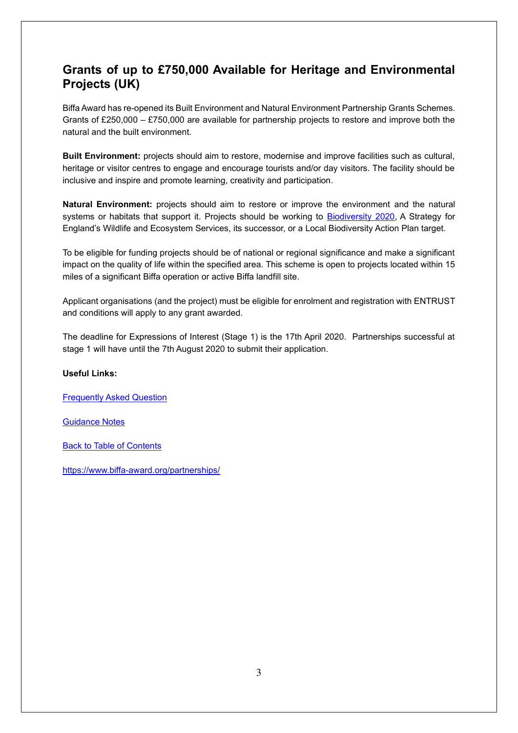## <span id="page-2-0"></span>**Grants of up to £750,000 Available for Heritage and Environmental Projects (UK)**

Biffa Award has re-opened its Built Environment and Natural Environment Partnership Grants Schemes. Grants of £250,000 – £750,000 are available for partnership projects to restore and improve both the natural and the built environment.

**Built Environment:** projects should aim to restore, modernise and improve facilities such as cultural, heritage or visitor centres to engage and encourage tourists and/or day visitors. The facility should be inclusive and inspire and promote learning, creativity and participation.

**Natural Environment:** projects should aim to restore or improve the environment and the natural systems or habitats that support it. Projects should be working to [Biodiversity 2020,](https://assets.publishing.service.gov.uk/government/uploads/system/uploads/attachment_data/file/69446/pb13583-biodiversity-strategy-2020-111111.pdf) A Strategy for England's Wildlife and Ecosystem Services, its successor, or a Local Biodiversity Action Plan target.

To be eligible for funding projects should be of national or regional significance and make a significant impact on the quality of life within the specified area. This scheme is open to projects located within 15 miles of a significant Biffa operation or active Biffa landfill site.

Applicant organisations (and the project) must be eligible for enrolment and registration with ENTRUST and conditions will apply to any grant awarded.

The deadline for Expressions of Interest (Stage 1) is the 17th April 2020. Partnerships successful at stage 1 will have until the 7th August 2020 to submit their application.

#### **Useful Links:**

[Frequently Asked Question](https://www.biffa-award.org/faqs/)

[Guidance Notes](https://www.biffa-award.org/wp-content/uploads/2020/02/BOM190-PGS-Guidance-Notes-and-criteria-for-online-application-form-V5-0220.docx)

Back to Table of Contents

<https://www.biffa-award.org/partnerships/>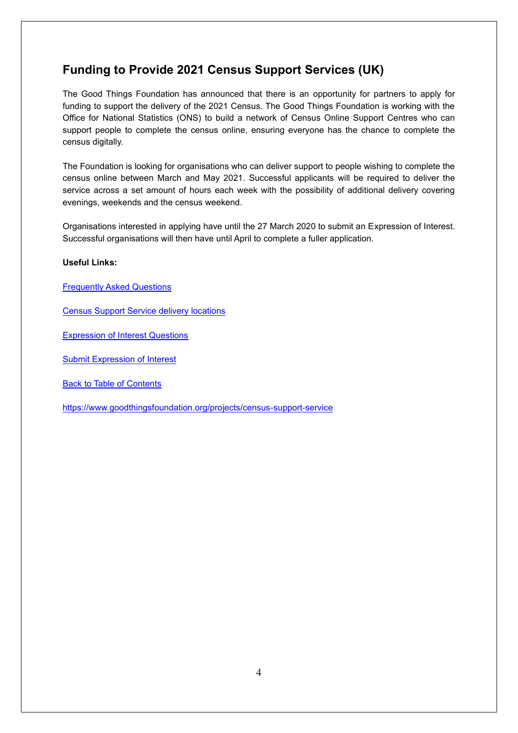## <span id="page-3-0"></span>**Funding to Provide 2021 Census Support Services (UK)**

The Good Things Foundation has announced that there is an opportunity for partners to apply for funding to support the delivery of the 2021 Census. The Good Things Foundation is working with the Office for National Statistics (ONS) to build a network of Census Online Support Centres who can support people to complete the census online, ensuring everyone has the chance to complete the census digitally.

The Foundation is looking for organisations who can deliver support to people wishing to complete the census online between March and May 2021. Successful applicants will be required to deliver the service across a set amount of hours each week with the possibility of additional delivery covering evenings, weekends and the census weekend.

Organisations interested in applying have until the 27 March 2020 to submit an Expression of Interest. Successful organisations will then have until April to complete a fuller application.

#### **Useful Links:**

[Frequently Asked Questions](https://www.goodthingsfoundation.org/sites/default/files/census_support_service_-_frequently_asked_questions.pdf)

[Census Support Service delivery locations](https://www.goodthingsfoundation.org/sites/default/files/census_support_service_-_delivery_locations_and_volumes_areas.pdf)

[Expression of Interest Questions](https://www.goodthingsfoundation.org/sites/default/files/census_support_service_-_expression_of_interest_questions.pdf)

[Submit Expression of Interest](https://goodthingsfoundation.typeform.com/to/TRfarG)

Back to Table of Contents

<https://www.goodthingsfoundation.org/projects/census-support-service>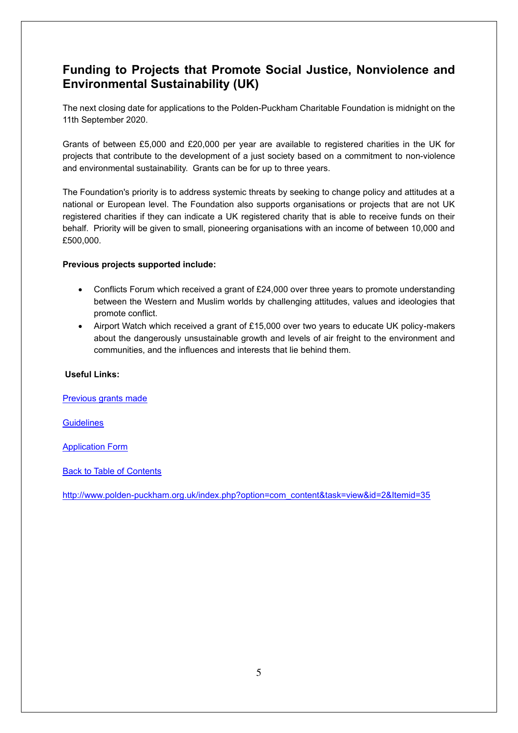## <span id="page-4-0"></span>**Funding to Projects that Promote Social Justice, Nonviolence and Environmental Sustainability (UK)**

The next closing date for applications to the Polden-Puckham Charitable Foundation is midnight on the 11th September 2020.

Grants of between £5,000 and £20,000 per year are available to registered charities in the UK for projects that contribute to the development of a just society based on a commitment to non-violence and environmental sustainability. Grants can be for up to three years.

The Foundation's priority is to address systemic threats by seeking to change policy and attitudes at a national or European level. The Foundation also supports organisations or projects that are not UK registered charities if they can indicate a UK registered charity that is able to receive funds on their behalf. Priority will be given to small, pioneering organisations with an income of between 10,000 and £500,000.

#### **Previous projects supported include:**

- Conflicts Forum which received a grant of £24,000 over three years to promote understanding between the Western and Muslim worlds by challenging attitudes, values and ideologies that promote conflict.
- Airport Watch which received a grant of £15,000 over two years to educate UK policy-makers about the dangerously unsustainable growth and levels of air freight to the environment and communities, and the influences and interests that lie behind them.

#### **Useful Links:**

[Previous grants made](https://www.polden-puckham.org.uk/grants-made)

**[Guidelines](https://www.polden-puckham.org.uk/component/osdownloads/routedownload/how-to-apply/ppcf-guidelines-for-grant-funding)** 

[Application Form](https://www.polden-puckham.org.uk/component/osdownloads/routedownload/how-to-apply/ppcf-application-form-dec-2018)

Back to Table of Contents

[http://www.polden-puckham.org.uk/index.php?option=com\\_content&task=view&id=2&Itemid=35](http://www.polden-puckham.org.uk/index.php?option=com_content&task=view&id=2&Itemid=35)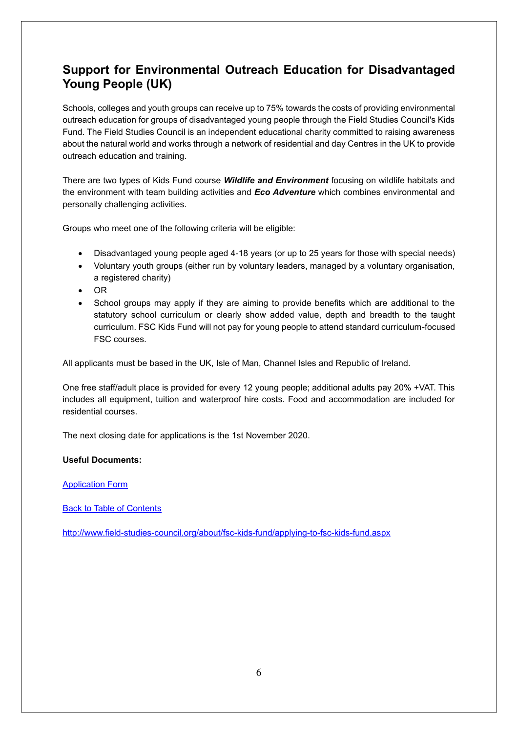## <span id="page-5-0"></span>**Support for Environmental Outreach Education for Disadvantaged Young People (UK)**

Schools, colleges and youth groups can receive up to 75% towards the costs of providing environmental outreach education for groups of disadvantaged young people through the Field Studies Council's Kids Fund. The Field Studies Council is an independent educational charity committed to raising awareness about the natural world and works through a network of residential and day Centres in the UK to provide outreach education and training.

There are two types of Kids Fund course *Wildlife and Environment* focusing on wildlife habitats and the environment with team building activities and *Eco Adventure* which combines environmental and personally challenging activities.

Groups who meet one of the following criteria will be eligible:

- Disadvantaged young people aged 4-18 years (or up to 25 years for those with special needs)
- Voluntary youth groups (either run by voluntary leaders, managed by a voluntary organisation, a registered charity)
- OR
- School groups may apply if they are aiming to provide benefits which are additional to the statutory school curriculum or clearly show added value, depth and breadth to the taught curriculum. FSC Kids Fund will not pay for young people to attend standard curriculum-focused FSC courses.

All applicants must be based in the UK, Isle of Man, Channel Isles and Republic of Ireland.

One free staff/adult place is provided for every 12 young people; additional adults pay 20% +VAT. This includes all equipment, tuition and waterproof hire costs. Food and accommodation are included for residential courses.

The next closing date for applications is the 1st November 2020.

#### **Useful Documents:**

[Application Form](http://www.field-studies-council.org/media/3208700/fsc-kf-app-form-v12-2017-prices.doc)

Back to Table of Contents

<http://www.field-studies-council.org/about/fsc-kids-fund/applying-to-fsc-kids-fund.aspx>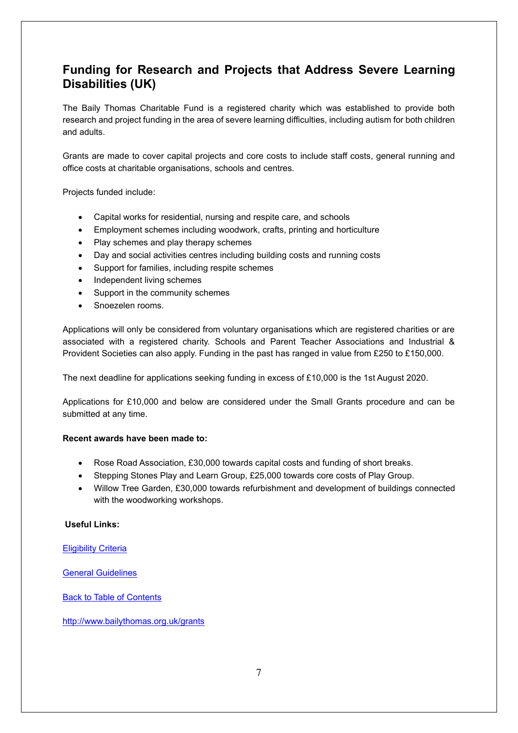## <span id="page-6-0"></span>**Funding for Research and Projects that Address Severe Learning Disabilities (UK)**

The Baily Thomas Charitable Fund is a registered charity which was established to provide both research and project funding in the area of severe learning difficulties, including autism for both children and adults.

Grants are made to cover capital projects and core costs to include staff costs, general running and office costs at charitable organisations, schools and centres.

Projects funded include:

- Capital works for residential, nursing and respite care, and schools
- Employment schemes including woodwork, crafts, printing and horticulture
- Play schemes and play therapy schemes
- Day and social activities centres including building costs and running costs
- Support for families, including respite schemes
- Independent living schemes
- Support in the community schemes
- Snoezelen rooms.

Applications will only be considered from voluntary organisations which are registered charities or are associated with a registered charity. Schools and Parent Teacher Associations and Industrial & Provident Societies can also apply. Funding in the past has ranged in value from £250 to £150,000.

The next deadline for applications seeking funding in excess of £10,000 is the 1st August 2020.

Applications for £10,000 and below are considered under the Small Grants procedure and can be submitted at any time.

#### **Recent awards have been made to:**

- Rose Road Association, £30,000 towards capital costs and funding of short breaks.
- Stepping Stones Play and Learn Group, £25,000 towards core costs of Play Group.
- Willow Tree Garden, £30,000 towards refurbishment and development of buildings connected with the woodworking workshops.

#### **Useful Links:**

#### **[Eligibility Criteria](http://www.bailythomas.org.uk/eligibility-criteria)**

[General Guidelines](http://www.bailythomas.org.uk/grants/general-programme/general-guidelines)

**Back to Table of Contents** 

<http://www.bailythomas.org.uk/grants>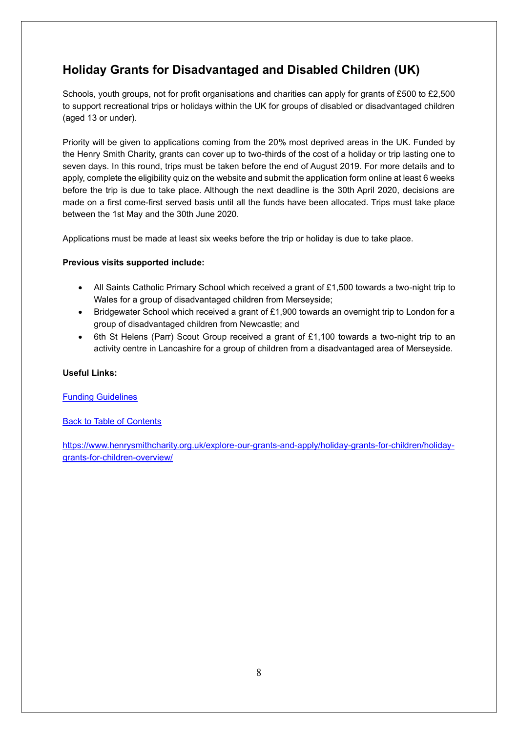## <span id="page-7-0"></span>**Holiday Grants for Disadvantaged and Disabled Children (UK)**

Schools, youth groups, not for profit organisations and charities can apply for grants of £500 to £2,500 to support recreational trips or holidays within the UK for groups of disabled or disadvantaged children (aged 13 or under).

Priority will be given to applications coming from the 20% most deprived areas in the UK. Funded by the Henry Smith Charity, grants can cover up to two-thirds of the cost of a holiday or trip lasting one to seven days. In this round, trips must be taken before the end of August 2019. For more details and to apply, complete the eligibility quiz on the website and submit the application form online at least 6 weeks before the trip is due to take place. Although the next deadline is the 30th April 2020, decisions are made on a first come-first served basis until all the funds have been allocated. Trips must take place between the 1st May and the 30th June 2020.

Applications must be made at least six weeks before the trip or holiday is due to take place.

#### **Previous visits supported include:**

- All Saints Catholic Primary School which received a grant of £1,500 towards a two-night trip to Wales for a group of disadvantaged children from Merseyside;
- Bridgewater School which received a grant of £1,900 towards an overnight trip to London for a group of disadvantaged children from Newcastle; and
- 6th St Helens (Parr) Scout Group received a grant of £1,100 towards a two-night trip to an activity centre in Lancashire for a group of children from a disadvantaged area of Merseyside.

#### **Useful Links:**

#### [Funding Guidelines](https://www.henrysmithcharity.org.uk/wp-content/uploads/2018/12/Holiday-Grants-programme-Guidelines-2019.pdf)

#### Back to Table of Contents

[https://www.henrysmithcharity.org.uk/explore-our-grants-and-apply/holiday-grants-for-children/holiday](https://www.henrysmithcharity.org.uk/explore-our-grants-and-apply/holiday-grants-for-children/holiday-grants-for-children-overview/)[grants-for-children-overview/](https://www.henrysmithcharity.org.uk/explore-our-grants-and-apply/holiday-grants-for-children/holiday-grants-for-children-overview/)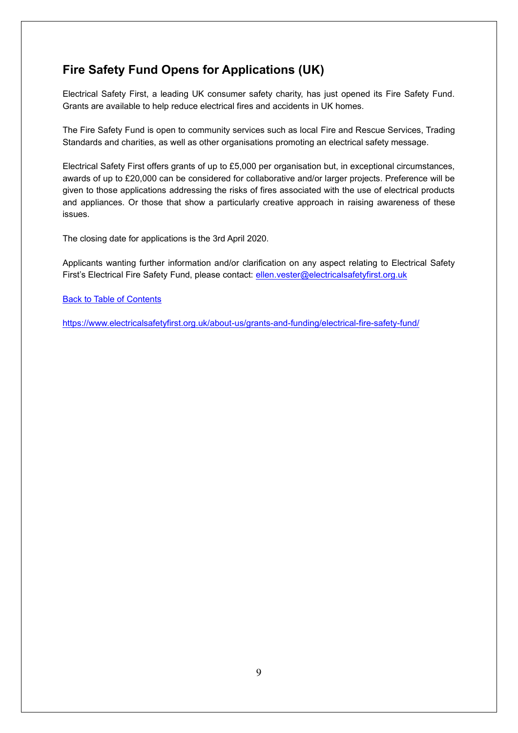## <span id="page-8-0"></span>**Fire Safety Fund Opens for Applications (UK)**

Electrical Safety First, a leading UK consumer safety charity, has just opened its Fire Safety Fund. Grants are available to help reduce electrical fires and accidents in UK homes.

The Fire Safety Fund is open to community services such as local Fire and Rescue Services, Trading Standards and charities, as well as other organisations promoting an electrical safety message.

Electrical Safety First offers grants of up to £5,000 per organisation but, in exceptional circumstances, awards of up to £20,000 can be considered for collaborative and/or larger projects. Preference will be given to those applications addressing the risks of fires associated with the use of electrical products and appliances. Or those that show a particularly creative approach in raising awareness of these issues.

The closing date for applications is the 3rd April 2020.

Applicants wanting further information and/or clarification on any aspect relating to Electrical Safety First's Electrical Fire Safety Fund, please contact: [ellen.vester@electricalsafetyfirst.org.uk](mailto:ellen.vester@electricalsafetyfirst.org.uk)

**Back to Table of Contents** 

<https://www.electricalsafetyfirst.org.uk/about-us/grants-and-funding/electrical-fire-safety-fund/>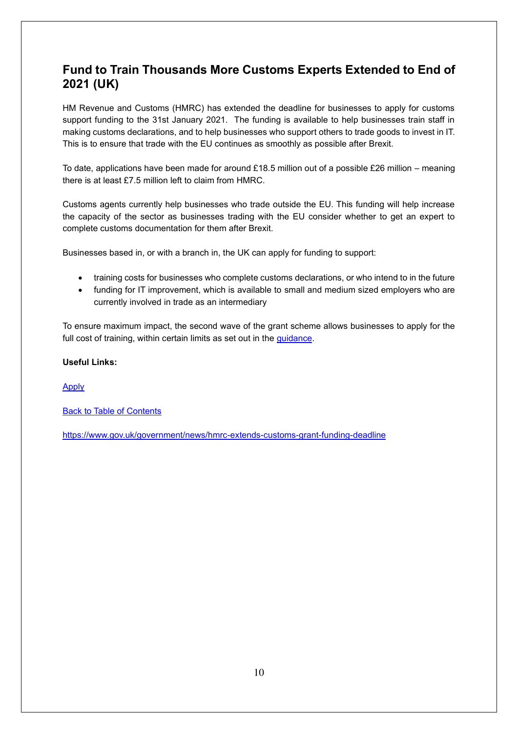## <span id="page-9-0"></span>**Fund to Train Thousands More Customs Experts Extended to End of 2021 (UK)**

HM Revenue and Customs (HMRC) has extended the deadline for businesses to apply for customs support funding to the 31st January 2021. The funding is available to help businesses train staff in making customs declarations, and to help businesses who support others to trade goods to invest in IT. This is to ensure that trade with the EU continues as smoothly as possible after Brexit.

To date, applications have been made for around £18.5 million out of a possible £26 million – meaning there is at least £7.5 million left to claim from HMRC.

Customs agents currently help businesses who trade outside the EU. This funding will help increase the capacity of the sector as businesses trading with the EU consider whether to get an expert to complete customs documentation for them after Brexit.

Businesses based in, or with a branch in, the UK can apply for funding to support:

- training costs for businesses who complete customs declarations, or who intend to in the future
- funding for IT improvement, which is available to small and medium sized employers who are currently involved in trade as an intermediary

To ensure maximum impact, the second wave of the grant scheme allows businesses to apply for the full cost of training, within certain limits as set out in the [guidance.](https://www.gov.uk/guidance/grants-for-businesses-that-complete-customs-declarations)

#### **Useful Links:**

[Apply](https://www.customsintermediarygrant.co.uk/)

Back to Table of Contents

<https://www.gov.uk/government/news/hmrc-extends-customs-grant-funding-deadline>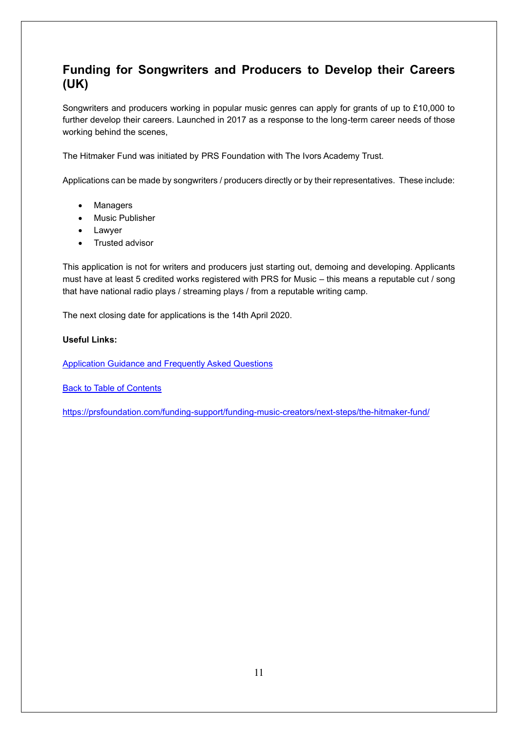## <span id="page-10-0"></span>**Funding for Songwriters and Producers to Develop their Careers (UK)**

Songwriters and producers working in popular music genres can apply for grants of up to £10,000 to further develop their careers. Launched in 2017 as a response to the long-term career needs of those working behind the scenes,

The Hitmaker Fund was initiated by PRS Foundation with The Ivors Academy Trust.

Applications can be made by songwriters / producers directly or by their representatives. These include:

- Managers
- Music Publisher
- Lawyer
- Trusted advisor

This application is not for writers and producers just starting out, demoing and developing. Applicants must have at least 5 credited works registered with PRS for Music – this means a reputable cut / song that have national radio plays / streaming plays / from a reputable writing camp.

The next closing date for applications is the 14th April 2020.

#### **Useful Links:**

[Application Guidance and Frequently Asked Questions](https://prsfoundation.com/funding-support/funding-music-creators/next-steps/the-hitmaker-fund/guidance-and-faqs/)

**Back to Table of Contents** 

<https://prsfoundation.com/funding-support/funding-music-creators/next-steps/the-hitmaker-fund/>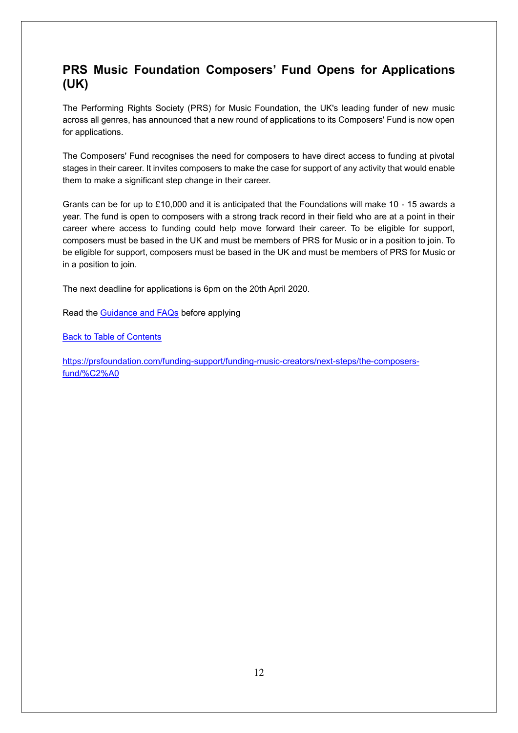## <span id="page-11-0"></span>**PRS Music Foundation Composers' Fund Opens for Applications (UK)**

The Performing Rights Society (PRS) for Music Foundation, the UK's leading funder of new music across all genres, has announced that a new round of applications to its Composers' Fund is now open for applications.

The Composers' Fund recognises the need for composers to have direct access to funding at pivotal stages in their career. It invites composers to make the case for support of any activity that would enable them to make a significant step change in their career.

Grants can be for up to £10,000 and it is anticipated that the Foundations will make 10 - 15 awards a year. The fund is open to composers with a strong track record in their field who are at a point in their career where access to funding could help move forward their career. To be eligible for support, composers must be based in the UK and must be members of PRS for Music or in a position to join. To be eligible for support, composers must be based in the UK and must be members of PRS for Music or in a position to join.

The next deadline for applications is 6pm on the 20th April 2020.

Read the [Guidance and FAQs](https://prsfoundation.com/funding-support/funding-music-creators/next-steps/the-composers-fund/the-composers-fund-guidance-and-faqs/) before applying

Back to Table of Contents

[https://prsfoundation.com/funding-support/funding-music-creators/next-steps/the-composers](https://prsfoundation.com/funding-support/funding-music-creators/next-steps/the-composers-fund/%C2%A0)[fund/%C2%A0](https://prsfoundation.com/funding-support/funding-music-creators/next-steps/the-composers-fund/%C2%A0)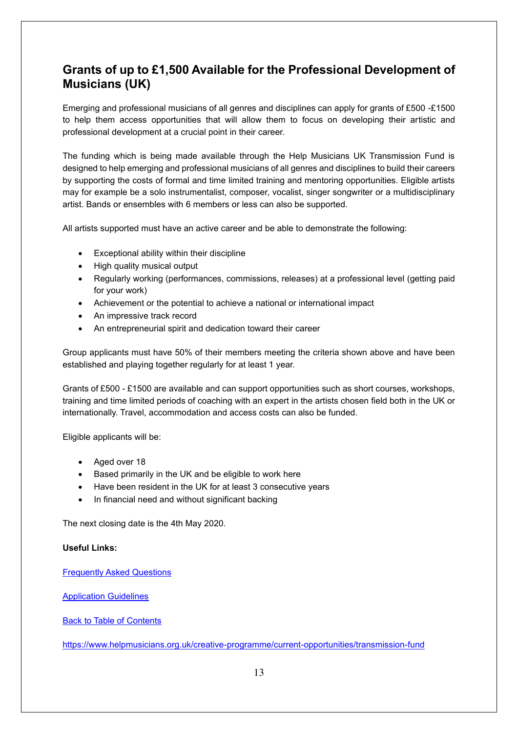## <span id="page-12-0"></span>**Grants of up to £1,500 Available for the Professional Development of Musicians (UK)**

Emerging and professional musicians of all genres and disciplines can apply for grants of £500 -£1500 to help them access opportunities that will allow them to focus on developing their artistic and professional development at a crucial point in their career.

The funding which is being made available through the Help Musicians UK Transmission Fund is designed to help emerging and professional musicians of all genres and disciplines to build their careers by supporting the costs of formal and time limited training and mentoring opportunities. Eligible artists may for example be a solo instrumentalist, composer, vocalist, singer songwriter or a multidisciplinary artist. Bands or ensembles with 6 members or less can also be supported.

All artists supported must have an active career and be able to demonstrate the following:

- Exceptional ability within their discipline
- High quality musical output
- Regularly working (performances, commissions, releases) at a professional level (getting paid for your work)
- Achievement or the potential to achieve a national or international impact
- An impressive track record
- An entrepreneurial spirit and dedication toward their career

Group applicants must have 50% of their members meeting the criteria shown above and have been established and playing together regularly for at least 1 year.

Grants of £500 - £1500 are available and can support opportunities such as short courses, workshops, training and time limited periods of coaching with an expert in the artists chosen field both in the UK or internationally. Travel, accommodation and access costs can also be funded.

Eligible applicants will be:

- Aged over 18
- Based primarily in the UK and be eligible to work here
- Have been resident in the UK for at least 3 consecutive years
- In financial need and without significant backing

The next closing date is the 4th May 2020.

#### **Useful Links:**

[Frequently Asked Questions](https://www.helpmusicians.org.uk/creative-programme/current-opportunities/transmission-fund/transmission-fund-faq)

[Application Guidelines](https://www.helpmusicians.org.uk/assets/files/transmission_fund_guidelines_2020.pdf)

Back to Table of Contents

<https://www.helpmusicians.org.uk/creative-programme/current-opportunities/transmission-fund>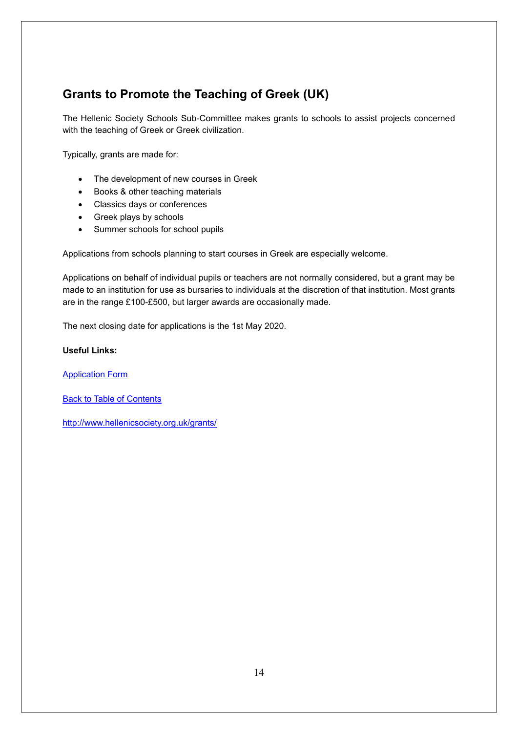## <span id="page-13-0"></span>**Grants to Promote the Teaching of Greek (UK)**

The Hellenic Society Schools Sub-Committee makes grants to schools to assist projects concerned with the teaching of Greek or Greek civilization.

Typically, grants are made for:

- The development of new courses in Greek
- Books & other teaching materials
- Classics days or conferences
- Greek plays by schools
- Summer schools for school pupils

Applications from schools planning to start courses in Greek are especially welcome.

Applications on behalf of individual pupils or teachers are not normally considered, but a grant may be made to an institution for use as bursaries to individuals at the discretion of that institution. Most grants are in the range £100-£500, but larger awards are occasionally made.

The next closing date for applications is the 1st May 2020.

#### **Useful Links:**

[Application Form](http://www.hellenicsociety.org.uk/wp-content/uploads/2015/08/SPHS-School-Grants.docx)

**Back to Table of Contents** 

<http://www.hellenicsociety.org.uk/grants/>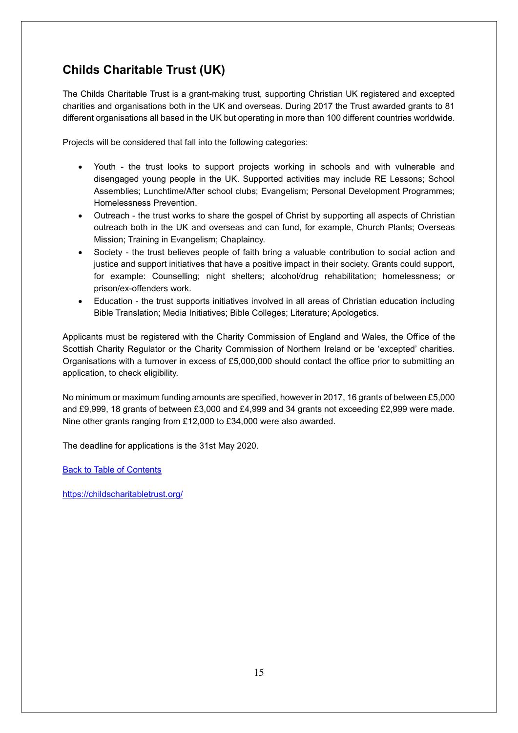## <span id="page-14-0"></span>**Childs Charitable Trust (UK)**

The Childs Charitable Trust is a grant-making trust, supporting Christian UK registered and excepted charities and organisations both in the UK and overseas. During 2017 the Trust awarded grants to 81 different organisations all based in the UK but operating in more than 100 different countries worldwide.

Projects will be considered that fall into the following categories:

- Youth the trust looks to support projects working in schools and with vulnerable and disengaged young people in the UK. Supported activities may include RE Lessons; School Assemblies; Lunchtime/After school clubs; Evangelism; Personal Development Programmes; Homelessness Prevention.
- Outreach the trust works to share the gospel of Christ by supporting all aspects of Christian outreach both in the UK and overseas and can fund, for example, Church Plants; Overseas Mission; Training in Evangelism; Chaplaincy.
- Society the trust believes people of faith bring a valuable contribution to social action and justice and support initiatives that have a positive impact in their society. Grants could support, for example: Counselling; night shelters; alcohol/drug rehabilitation; homelessness; or prison/ex-offenders work.
- Education the trust supports initiatives involved in all areas of Christian education including Bible Translation; Media Initiatives; Bible Colleges; Literature; Apologetics.

Applicants must be registered with the Charity Commission of England and Wales, the Office of the Scottish Charity Regulator or the Charity Commission of Northern Ireland or be 'excepted' charities. Organisations with a turnover in excess of £5,000,000 should contact the office prior to submitting an application, to check eligibility.

No minimum or maximum funding amounts are specified, however in 2017, 16 grants of between £5,000 and £9,999, 18 grants of between £3,000 and £4,999 and 34 grants not exceeding £2,999 were made. Nine other grants ranging from £12,000 to £34,000 were also awarded.

The deadline for applications is the 31st May 2020.

Back to Table of Contents

<https://childscharitabletrust.org/>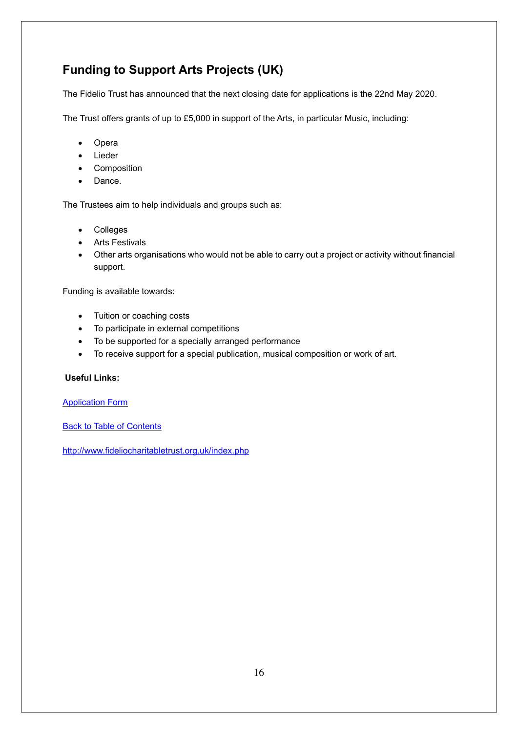## <span id="page-15-0"></span>**Funding to Support Arts Projects (UK)**

The Fidelio Trust has announced that the next closing date for applications is the 22nd May 2020.

The Trust offers grants of up to £5,000 in support of the Arts, in particular Music, including:

- Opera
- Lieder
- Composition
- Dance.

The Trustees aim to help individuals and groups such as:

- Colleges
- Arts Festivals
- Other arts organisations who would not be able to carry out a project or activity without financial support.

Funding is available towards:

- Tuition or coaching costs
- To participate in external competitions
- To be supported for a specially arranged performance
- To receive support for a special publication, musical composition or work of art.

#### **Useful Links:**

[Application Form](http://www.fideliocharitabletrust.org.uk/applicationForm/FidelioApplicationForm2018v2.docx)

Back to Table of Contents

<http://www.fideliocharitabletrust.org.uk/index.php>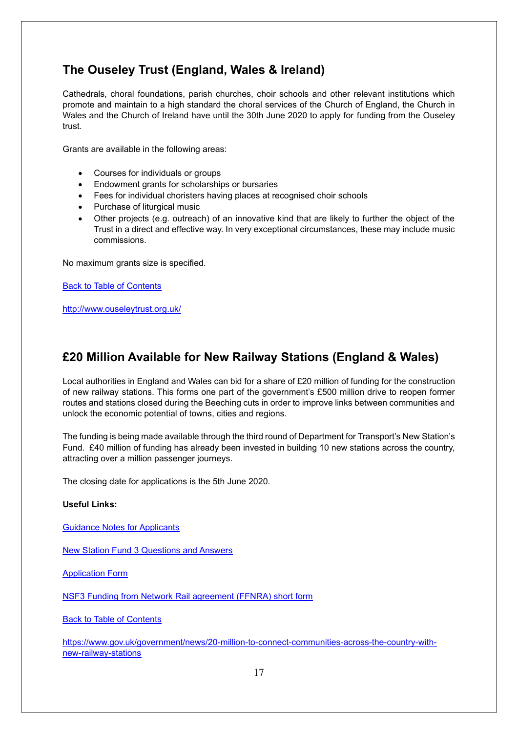## <span id="page-16-0"></span>**The Ouseley Trust (England, Wales & Ireland)**

Cathedrals, choral foundations, parish churches, choir schools and other relevant institutions which promote and maintain to a high standard the choral services of the Church of England, the Church in Wales and the Church of Ireland have until the 30th June 2020 to apply for funding from the Ouseley trust.

Grants are available in the following areas:

- Courses for individuals or groups
- Endowment grants for scholarships or bursaries
- Fees for individual choristers having places at recognised choir schools
- Purchase of liturgical music
- Other projects (e.g. outreach) of an innovative kind that are likely to further the object of the Trust in a direct and effective way. In very exceptional circumstances, these may include music commissions.

No maximum grants size is specified.

Back to Table of Contents

<http://www.ouseleytrust.org.uk/>

## <span id="page-16-1"></span>**£20 Million Available for New Railway Stations (England & Wales)**

Local authorities in England and Wales can bid for a share of £20 million of funding for the construction of new railway stations. This forms one part of the government's £500 million drive to reopen former routes and stations closed during the Beeching cuts in order to improve links between communities and unlock the economic potential of towns, cities and regions.

The funding is being made available through the third round of Department for Transport's New Station's Fund. £40 million of funding has already been invested in building 10 new stations across the country, attracting over a million passenger journeys.

The closing date for applications is the 5th June 2020.

#### **Useful Links:**

[Guidance Notes for Applicants](https://cdn.networkrail.co.uk/wp-content/uploads/2020/02/New-Stations-Fund-3-Guidance-Note-for-Applicants.pdf)

[New Station Fund 3 Questions and Answers](https://cdn.networkrail.co.uk/wp-content/uploads/2020/02/New-Stations-Fund-3-Q-and-A.pdf)

[Application Form](https://cdn.networkrail.co.uk/wp-content/uploads/2020/02/New-Station-Fund-3-Application-form.doc)

[NSF3 Funding from Network Rail agreement \(FFNRA\) short form](https://cdn.networkrail.co.uk/wp-content/uploads/2020/02/NSF3-Funding-From-Network-Rail-Agreement-FFNRA-Short-Form.docx)

Back to Table of Contents

[https://www.gov.uk/government/news/20-million-to-connect-communities-across-the-country-with](https://www.gov.uk/government/news/20-million-to-connect-communities-across-the-country-with-new-railway-stations)[new-railway-stations](https://www.gov.uk/government/news/20-million-to-connect-communities-across-the-country-with-new-railway-stations)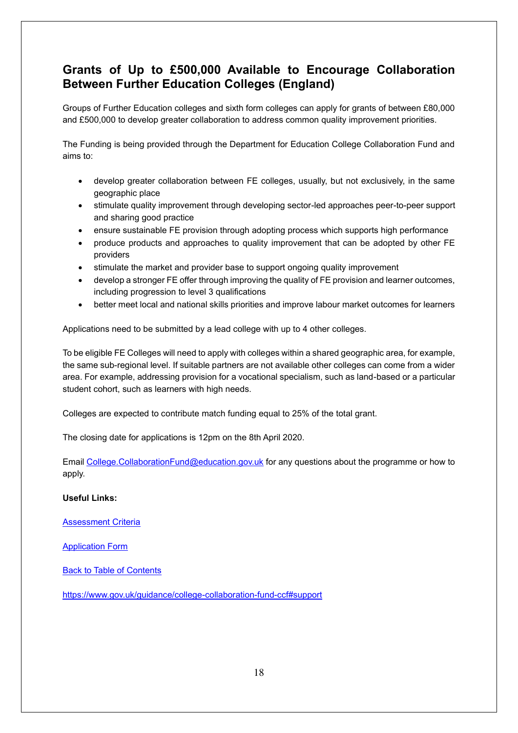## <span id="page-17-0"></span>**Grants of Up to £500,000 Available to Encourage Collaboration Between Further Education Colleges (England)**

Groups of Further Education colleges and sixth form colleges can apply for grants of between £80,000 and £500,000 to develop greater collaboration to address common quality improvement priorities.

The Funding is being provided through the Department for Education College Collaboration Fund and aims to:

- develop greater collaboration between FE colleges, usually, but not exclusively, in the same geographic place
- stimulate quality improvement through developing sector-led approaches peer-to-peer support and sharing good practice
- ensure sustainable FE provision through adopting process which supports high performance
- produce products and approaches to quality improvement that can be adopted by other FE providers
- stimulate the market and provider base to support ongoing quality improvement
- develop a stronger FE offer through improving the quality of FE provision and learner outcomes, including progression to level 3 qualifications
- better meet local and national skills priorities and improve labour market outcomes for learners

Applications need to be submitted by a lead college with up to 4 other colleges.

To be eligible FE Colleges will need to apply with colleges within a shared geographic area, for example, the same sub-regional level. If suitable partners are not available other colleges can come from a wider area. For example, addressing provision for a vocational specialism, such as land-based or a particular student cohort, such as learners with high needs.

Colleges are expected to contribute match funding equal to 25% of the total grant.

The closing date for applications is 12pm on the 8th April 2020.

Email [College.CollaborationFund@education.gov.uk](mailto:College.CollaborationFund@education.gov.uk) for any questions about the programme or how to apply.

#### **Useful Links:**

[Assessment Criteria](https://assets.publishing.service.gov.uk/government/uploads/system/uploads/attachment_data/file/868667/CCF_Assessment_Criteria.pdf)

[Application Form](https://assets.publishing.service.gov.uk/government/uploads/system/uploads/attachment_data/file/868415/CCF_Application_Form.docx)

Back to Table of Contents

<https://www.gov.uk/guidance/college-collaboration-fund-ccf#support>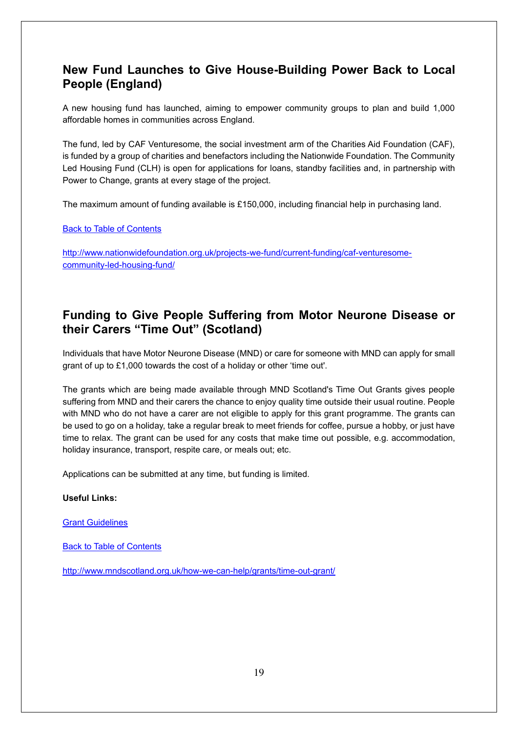## <span id="page-18-0"></span>**New Fund Launches to Give House-Building Power Back to Local People (England)**

A new housing fund has launched, aiming to empower community groups to plan and build 1,000 affordable homes in communities across England.

The fund, led by CAF Venturesome, the social investment arm of the Charities Aid Foundation (CAF), is funded by a group of charities and benefactors including the Nationwide Foundation. The Community Led Housing Fund (CLH) is open for applications for loans, standby facilities and, in partnership with Power to Change, grants at every stage of the project.

The maximum amount of funding available is £150,000, including financial help in purchasing land.

Back to Table of Contents

[http://www.nationwidefoundation.org.uk/projects-we-fund/current-funding/caf-venturesome](http://www.nationwidefoundation.org.uk/projects-we-fund/current-funding/caf-venturesome-community-led-housing-fund/)[community-led-housing-fund/](http://www.nationwidefoundation.org.uk/projects-we-fund/current-funding/caf-venturesome-community-led-housing-fund/)

## <span id="page-18-1"></span>**Funding to Give People Suffering from Motor Neurone Disease or their Carers "Time Out" (Scotland)**

Individuals that have Motor Neurone Disease (MND) or care for someone with MND can apply for small grant of up to £1,000 towards the cost of a holiday or other 'time out'.

The grants which are being made available through MND Scotland's Time Out Grants gives people suffering from MND and their carers the chance to enjoy quality time outside their usual routine. People with MND who do not have a carer are not eligible to apply for this grant programme. The grants can be used to go on a holiday, take a regular break to meet friends for coffee, pursue a hobby, or just have time to relax. The grant can be used for any costs that make time out possible, e.g. accommodation, holiday insurance, transport, respite care, or meals out; etc.

Applications can be submitted at any time, but funding is limited.

#### **Useful Links:**

[Grant Guidelines](http://www.mndscotland.org.uk/media/1571/time-out-grants-guidelines.pdf)

Back to Table of Contents

<http://www.mndscotland.org.uk/how-we-can-help/grants/time-out-grant/>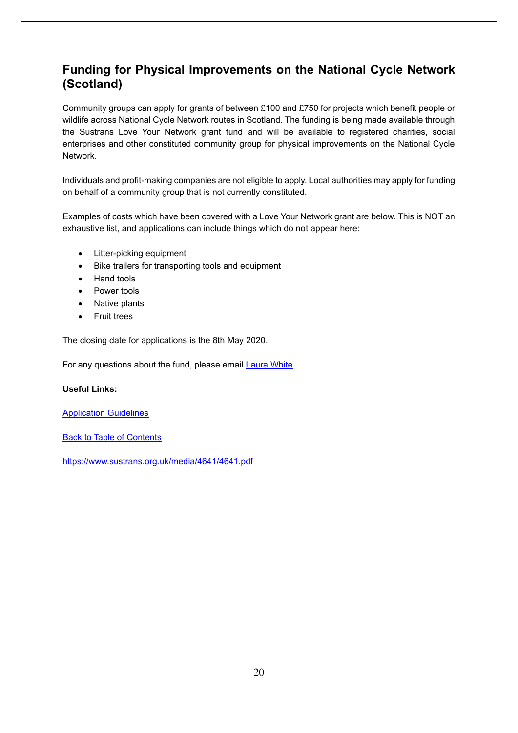## <span id="page-19-0"></span>**Funding for Physical Improvements on the National Cycle Network (Scotland)**

Community groups can apply for grants of between £100 and £750 for projects which benefit people or wildlife across National Cycle Network routes in Scotland. The funding is being made available through the Sustrans Love Your Network grant fund and will be available to registered charities, social enterprises and other constituted community group for physical improvements on the National Cycle Network.

Individuals and profit-making companies are not eligible to apply. Local authorities may apply for funding on behalf of a community group that is not currently constituted.

Examples of costs which have been covered with a Love Your Network grant are below. This is NOT an exhaustive list, and applications can include things which do not appear here:

- Litter-picking equipment
- Bike trailers for transporting tools and equipment
- Hand tools
- Power tools
- Native plants
- Fruit trees

The closing date for applications is the 8th May 2020.

For any questions about the fund, please email **Laura White.** 

#### **Useful Links:**

[Application Guidelines](https://www.sustrans.org.uk/media/4641/4641.pdf)

Back to Table of Contents

<https://www.sustrans.org.uk/media/4641/4641.pdf>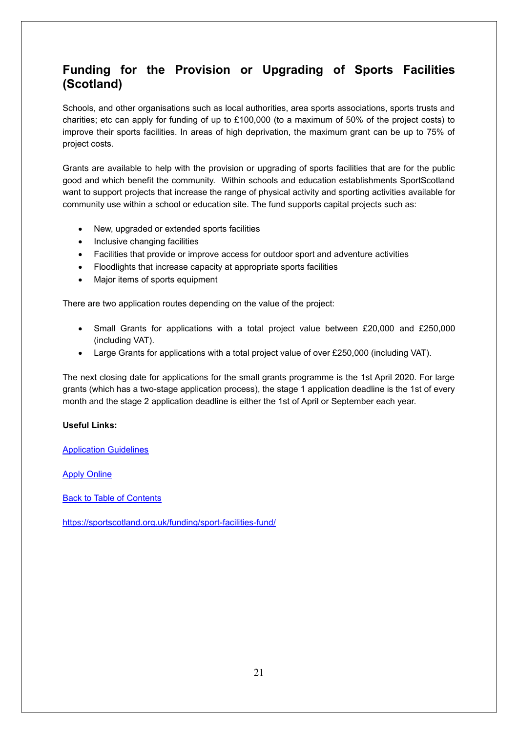## <span id="page-20-0"></span>**Funding for the Provision or Upgrading of Sports Facilities (Scotland)**

Schools, and other organisations such as local authorities, area sports associations, sports trusts and charities; etc can apply for funding of up to £100,000 (to a maximum of 50% of the project costs) to improve their sports facilities. In areas of high deprivation, the maximum grant can be up to 75% of project costs.

Grants are available to help with the provision or upgrading of sports facilities that are for the public good and which benefit the community. Within schools and education establishments SportScotland want to support projects that increase the range of physical activity and sporting activities available for community use within a school or education site. The fund supports capital projects such as:

- New, upgraded or extended sports facilities
- Inclusive changing facilities
- Facilities that provide or improve access for outdoor sport and adventure activities
- Floodlights that increase capacity at appropriate sports facilities
- Major items of sports equipment

There are two application routes depending on the value of the project:

- Small Grants for applications with a total project value between £20,000 and £250,000 (including VAT).
- Large Grants for applications with a total project value of over £250,000 (including VAT).

The next closing date for applications for the small grants programme is the 1st April 2020. For large grants (which has a two-stage application process), the stage 1 application deadline is the 1st of every month and the stage 2 application deadline is either the 1st of April or September each year.

#### **Useful Links:**

[Application Guidelines](https://sportscotland.org.uk/media/3411/2018-sff-guidelines-rev2.pdf)

#### [Apply Online](https://mysport.sportscotland.org.uk/Account/Login/?ReturnUrl=%2fMyWork%2fFacilityApplication%2fNew%2f%3ftype%3dSmall%26fund%3dSFF&type=Small&fund=SFF)

Back to Table of Contents

<https://sportscotland.org.uk/funding/sport-facilities-fund/>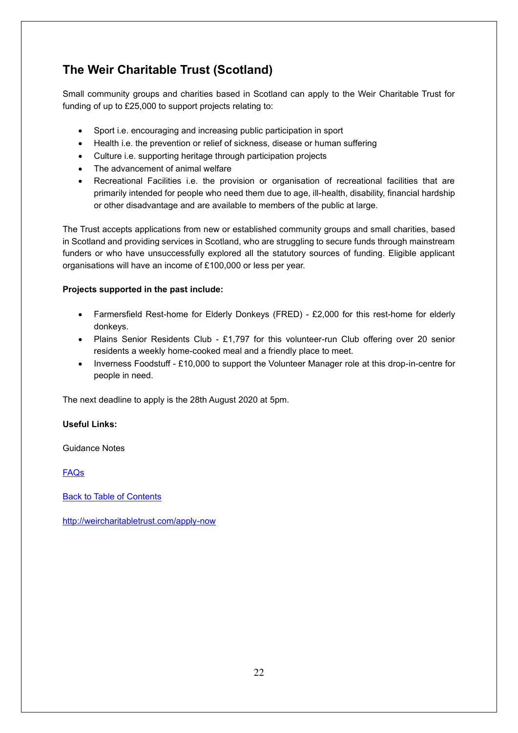## <span id="page-21-0"></span>**The Weir Charitable Trust (Scotland)**

Small community groups and charities based in Scotland can apply to the Weir Charitable Trust for funding of up to £25,000 to support projects relating to:

- Sport i.e. encouraging and increasing public participation in sport
- Health i.e. the prevention or relief of sickness, disease or human suffering
- Culture i.e. supporting heritage through participation projects
- The advancement of animal welfare
- Recreational Facilities i.e. the provision or organisation of recreational facilities that are primarily intended for people who need them due to age, ill-health, disability, financial hardship or other disadvantage and are available to members of the public at large.

The Trust accepts applications from new or established community groups and small charities, based in Scotland and providing services in Scotland, who are struggling to secure funds through mainstream funders or who have unsuccessfully explored all the statutory sources of funding. Eligible applicant organisations will have an income of £100,000 or less per year.

#### **Projects supported in the past include:**

- Farmersfield Rest-home for Elderly Donkeys (FRED) £2,000 for this rest-home for elderly donkeys.
- Plains Senior Residents Club £1,797 for this volunteer-run Club offering over 20 senior residents a weekly home-cooked meal and a friendly place to meet.
- Inverness Foodstuff £10,000 to support the Volunteer Manager role at this drop-in-centre for people in need.

The next deadline to apply is the 28th August 2020 at 5pm.

#### **Useful Links:**

Guidance Notes

[FAQs](http://weircharitabletrust.com/faq-page)

Back to Table of Contents

<http://weircharitabletrust.com/apply-now>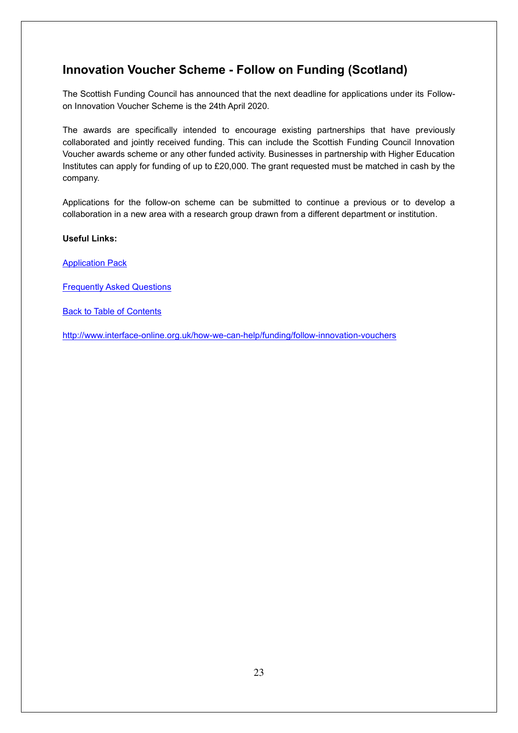## <span id="page-22-0"></span>**Innovation Voucher Scheme - Follow on Funding (Scotland)**

The Scottish Funding Council has announced that the next deadline for applications under its Followon Innovation Voucher Scheme is the 24th April 2020.

The awards are specifically intended to encourage existing partnerships that have previously collaborated and jointly received funding. This can include the Scottish Funding Council Innovation Voucher awards scheme or any other funded activity. Businesses in partnership with Higher Education Institutes can apply for funding of up to £20,000. The grant requested must be matched in cash by the company.

Applications for the follow-on scheme can be submitted to continue a previous or to develop a collaboration in a new area with a research group drawn from a different department or institution.

#### **Useful Links:**

[Application Pack](https://interface-online.org.uk/sites/default/files/SFC%20Follow%20On%20Voucher%20Application%20Pack.zip)

[Frequently Asked Questions](https://interface-online.org.uk/sites/default/files/SFC%20Follow%20On%20Voucher%20FAQs.docx)

**Back to Table of Contents** 

<http://www.interface-online.org.uk/how-we-can-help/funding/follow-innovation-vouchers>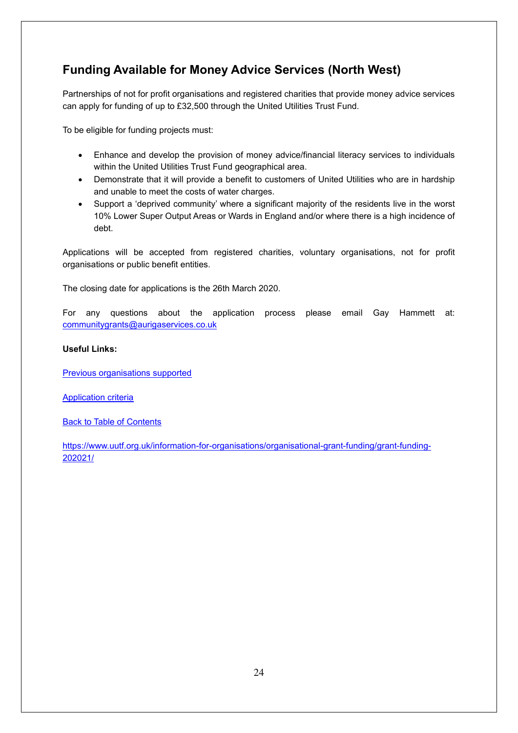## <span id="page-23-0"></span>**Funding Available for Money Advice Services (North West)**

Partnerships of not for profit organisations and registered charities that provide money advice services can apply for funding of up to £32,500 through the United Utilities Trust Fund.

To be eligible for funding projects must:

- Enhance and develop the provision of money advice/financial literacy services to individuals within the United Utilities Trust Fund geographical area.
- Demonstrate that it will provide a benefit to customers of United Utilities who are in hardship and unable to meet the costs of water charges.
- Support a 'deprived community' where a significant majority of the residents live in the worst 10% Lower Super Output Areas or Wards in England and/or where there is a high incidence of debt.

Applications will be accepted from registered charities, voluntary organisations, not for profit organisations or public benefit entities.

The closing date for applications is the 26th March 2020.

For any questions about the application process please email Gay Hammett at: [communitygrants@aurigaservices.co.uk](mailto:communitygrants@aurigaservices.co.uk) 

#### **Useful Links:**

[Previous organisations supported](https://www.uutf.org.uk/information-for-organisations/organisational-grant-funding/)

[Application criteria](https://www.uutf.org.uk/information-for-organisations/organisational-grant-funding/grant-funding-202021/project-funding-opportunities/)

Back to Table of Contents

[https://www.uutf.org.uk/information-for-organisations/organisational-grant-funding/grant-funding-](https://www.uutf.org.uk/information-for-organisations/organisational-grant-funding/grant-funding-202021/)[202021/](https://www.uutf.org.uk/information-for-organisations/organisational-grant-funding/grant-funding-202021/)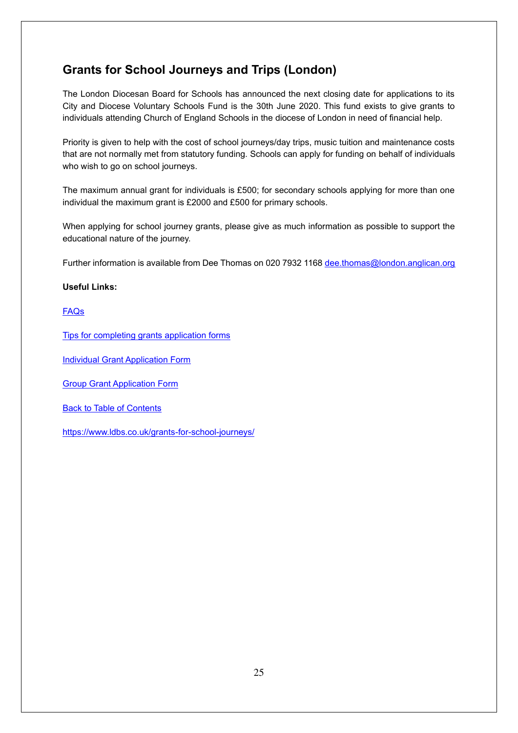## <span id="page-24-0"></span>**Grants for School Journeys and Trips (London)**

The London Diocesan Board for Schools has announced the next closing date for applications to its City and Diocese Voluntary Schools Fund is the 30th June 2020. This fund exists to give grants to individuals attending Church of England Schools in the diocese of London in need of financial help.

Priority is given to help with the cost of school journeys/day trips, music tuition and maintenance costs that are not normally met from statutory funding. Schools can apply for funding on behalf of individuals who wish to go on school journeys.

The maximum annual grant for individuals is £500; for secondary schools applying for more than one individual the maximum grant is £2000 and £500 for primary schools.

When applying for school journey grants, please give as much information as possible to support the educational nature of the journey.

Further information is available from Dee Thomas on 020 7932 1168 [dee.thomas@london.anglican.org](mailto:dee.thomas@london.anglican.org)

#### **Useful Links:**

[FAQs](https://www.ldbs.co.uk/wp-content/uploads/2018/03/Frequently-Asked-Questions-March-2018.pdf)

[Tips for completing grants application forms](https://www.ldbs.co.uk/wp-content/uploads/2018/03/TIPS-for-completing-grant-application-forms-March-2018.pdf)

**[Individual Grant Application Form](https://www.ldbs.co.uk/wp-content/uploads/2018/11/Individual-Grant-Application-Form-November-2018-1.docx)** 

[Group Grant Application Form](https://www.ldbs.co.uk/wp-content/uploads/2018/11/Group-Grant-Application-Form-November-2018-1.docx)

**Back to Table of Contents** 

<https://www.ldbs.co.uk/grants-for-school-journeys/>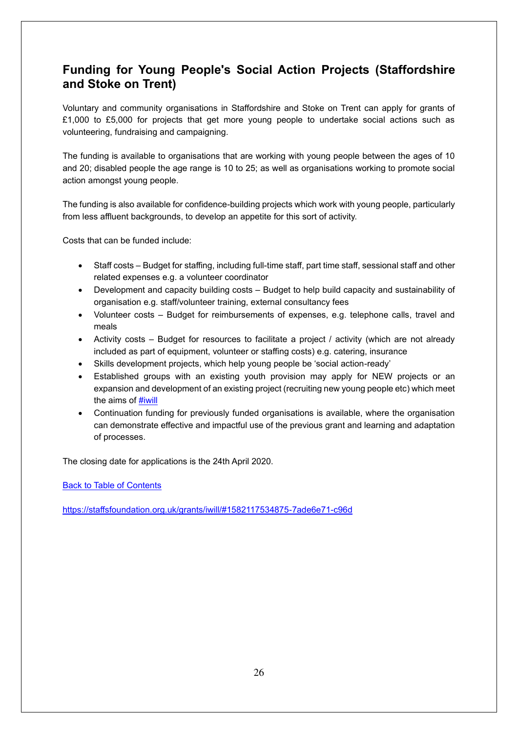## <span id="page-25-0"></span>**Funding for Young People's Social Action Projects (Staffordshire and Stoke on Trent)**

Voluntary and community organisations in Staffordshire and Stoke on Trent can apply for grants of £1,000 to £5,000 for projects that get more young people to undertake social actions such as volunteering, fundraising and campaigning.

The funding is available to organisations that are working with young people between the ages of 10 and 20; disabled people the age range is 10 to 25; as well as organisations working to promote social action amongst young people.

The funding is also available for confidence-building projects which work with young people, particularly from less affluent backgrounds, to develop an appetite for this sort of activity.

Costs that can be funded include:

- Staff costs Budget for staffing, including full-time staff, part time staff, sessional staff and other related expenses e.g. a volunteer coordinator
- Development and capacity building costs Budget to help build capacity and sustainability of organisation e.g. staff/volunteer training, external consultancy fees
- Volunteer costs Budget for reimbursements of expenses, e.g. telephone calls, travel and meals
- Activity costs Budget for resources to facilitate a project / activity (which are not already included as part of equipment, volunteer or staffing costs) e.g. catering, insurance
- Skills development projects, which help young people be 'social action-ready'
- Established groups with an existing youth provision may apply for NEW projects or an expansion and development of an existing project (recruiting new young people etc) which meet the aims of [#iwill](https://na77.salesforce.com/_ui/core/chatter/topics/TopicPage?name=iwill&ref=hash_mention)
- Continuation funding for previously funded organisations is available, where the organisation can demonstrate effective and impactful use of the previous grant and learning and adaptation of processes.

The closing date for applications is the 24th April 2020.

Back to Table of Contents

<https://staffsfoundation.org.uk/grants/iwill/#1582117534875-7ade6e71-c96d>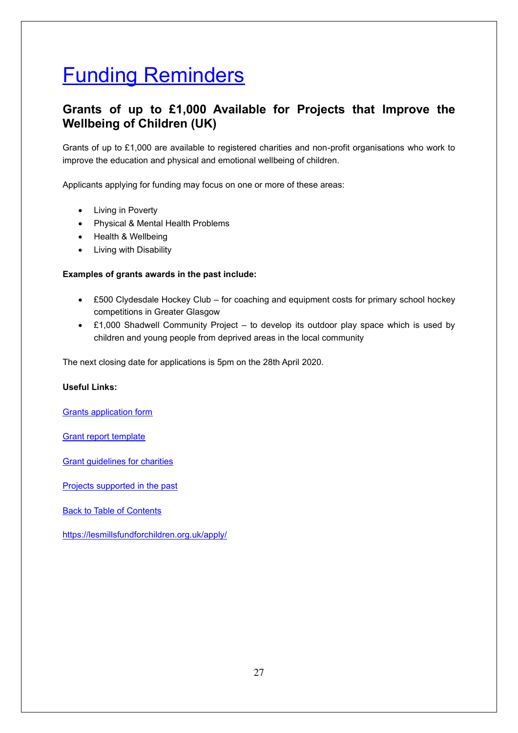## <span id="page-26-0"></span>Funding Reminders

## <span id="page-26-1"></span>**Grants of up to £1,000 Available for Projects that Improve the Wellbeing of Children (UK)**

Grants of up to £1,000 are available to registered charities and non-profit organisations who work to improve the education and physical and emotional wellbeing of children.

Applicants applying for funding may focus on one or more of these areas:

- Living in Poverty
- Physical & Mental Health Problems
- Health & Wellbeing
- Living with Disability

#### **Examples of grants awards in the past include:**

- £500 Clydesdale Hockey Club for coaching and equipment costs for primary school hockey competitions in Greater Glasgow
- £1,000 Shadwell Community Project to develop its outdoor play space which is used by children and young people from deprived areas in the local community

The next closing date for applications is 5pm on the 28th April 2020.

#### **Useful Links:**

[Grants application form](http://lesmillsfundforchildren.org.uk/wp-content/uploads/2018/04/LMFC-grant-application-form-2018.doc)

[Grant report template](http://lesmillsfundforchildren.org.uk/wp-content/uploads/2018/04/LMFC-Grant-report-template.doc)

[Grant guidelines for charities](http://lesmillsfundforchildren.org.uk/wp-content/uploads/2018/04/LMFC-grant-guidelines-for-charities.docx)

[Projects supported in the past](https://lesmillsfundforchildren.org.uk/ourwork/)

Back to Table of Contents

<https://lesmillsfundforchildren.org.uk/apply/>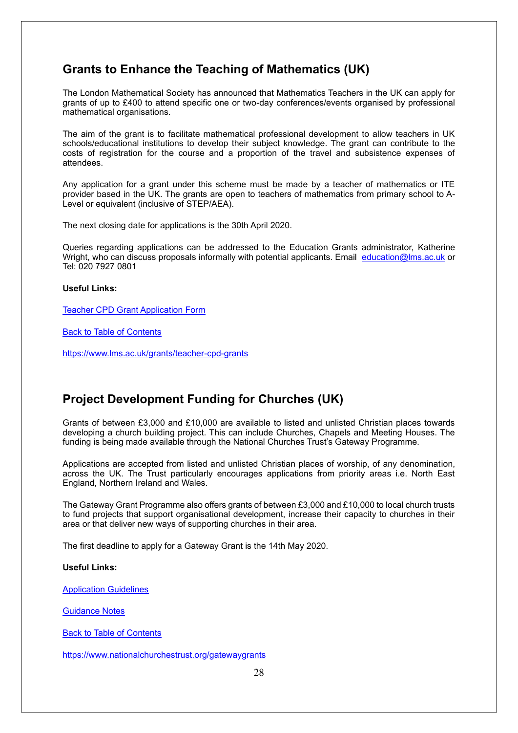## <span id="page-27-0"></span>**Grants to Enhance the Teaching of Mathematics (UK)**

The London Mathematical Society has announced that Mathematics Teachers in the UK can apply for grants of up to £400 to attend specific one or two-day conferences/events organised by professional mathematical organisations.

The aim of the grant is to facilitate mathematical professional development to allow teachers in UK schools/educational institutions to develop their subject knowledge. The grant can contribute to the costs of registration for the course and a proportion of the travel and subsistence expenses of attendees.

Any application for a grant under this scheme must be made by a teacher of mathematics or ITE provider based in the UK. The grants are open to teachers of mathematics from primary school to A-Level or equivalent (inclusive of STEP/AEA).

The next closing date for applications is the 30th April 2020.

Queries regarding applications can be addressed to the Education Grants administrator, Katherine Wright, who can discuss proposals informally with potential applicants. Email [education@lms.ac.uk](mailto:education@lms.ac.uk) or Tel: 020 7927 0801

#### **Useful Links:**

[Teacher CPD Grant Application Form](https://www.lms.ac.uk/sites/lms.ac.uk/files/LMS_Grants_forms/1%20CPD%20Application%20Form%20FINAL%20KW%20revised%2011-04-17.doc)

Back to Table of Contents

<https://www.lms.ac.uk/grants/teacher-cpd-grants>

## <span id="page-27-1"></span>**Project Development Funding for Churches (UK)**

Grants of between £3,000 and £10,000 are available to listed and unlisted Christian places towards developing a church building project. This can include Churches, Chapels and Meeting Houses. The funding is being made available through the National Churches Trust's Gateway Programme.

Applications are accepted from listed and unlisted Christian places of worship, of any denomination, across the UK. The Trust particularly encourages applications from priority areas i.e. North East England, Northern Ireland and Wales.

The Gateway Grant Programme also offers grants of between £3,000 and £10,000 to local church trusts to fund projects that support organisational development, increase their capacity to churches in their area or that deliver new ways of supporting churches in their area.

The first deadline to apply for a Gateway Grant is the 14th May 2020.

#### **Useful Links:**

[Application Guidelines](https://www.nationalchurchestrust.org/node/13924)

[Guidance Notes](https://www.nationalchurchestrust.org/sites/default/files/Gateway%20Grant%20Programme%20Guidance%20for%20Churches%202019-23_1.pdf)

Back to Table of Contents

<https://www.nationalchurchestrust.org/gatewaygrants>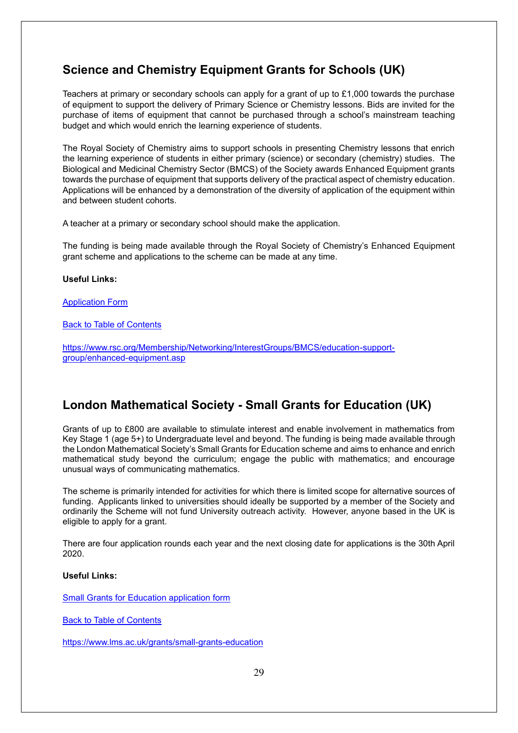## <span id="page-28-0"></span>**Science and Chemistry Equipment Grants for Schools (UK)**

Teachers at primary or secondary schools can apply for a grant of up to £1,000 towards the purchase of equipment to support the delivery of Primary Science or Chemistry lessons. Bids are invited for the purchase of items of equipment that cannot be purchased through a school's mainstream teaching budget and which would enrich the learning experience of students.

The Royal Society of Chemistry aims to support schools in presenting Chemistry lessons that enrich the learning experience of students in either primary (science) or secondary (chemistry) studies. The Biological and Medicinal Chemistry Sector (BMCS) of the Society awards Enhanced Equipment grants towards the purchase of equipment that supports delivery of the practical aspect of chemistry education. Applications will be enhanced by a demonstration of the diversity of application of the equipment within and between student cohorts.

A teacher at a primary or secondary school should make the application.

The funding is being made available through the Royal Society of Chemistry's Enhanced Equipment grant scheme and applications to the scheme can be made at any time.

#### **Useful Links:**

#### [Application Form](https://www.rsc.org/images/BMCS_Grant_Application_Form_tcm18-211131.doc)

Back to Table of Contents

[https://www.rsc.org/Membership/Networking/InterestGroups/BMCS/education-support](https://www.rsc.org/Membership/Networking/InterestGroups/BMCS/education-support-group/enhanced-equipment.asp)[group/enhanced-equipment.asp](https://www.rsc.org/Membership/Networking/InterestGroups/BMCS/education-support-group/enhanced-equipment.asp)

## <span id="page-28-1"></span>**London Mathematical Society - Small Grants for Education (UK)**

Grants of up to £800 are available to stimulate interest and enable involvement in mathematics from Key Stage 1 (age 5+) to Undergraduate level and beyond. The funding is being made available through the London Mathematical Society's Small Grants for Education scheme and aims to enhance and enrich mathematical study beyond the curriculum; engage the public with mathematics; and encourage unusual ways of communicating mathematics.

The scheme is primarily intended for activities for which there is limited scope for alternative sources of funding. Applicants linked to universities should ideally be supported by a member of the Society and ordinarily the Scheme will not fund University outreach activity. However, anyone based in the UK is eligible to apply for a grant.

There are four application rounds each year and the next closing date for applications is the 30th April 2020.

#### **Useful Links:**

[Small Grants for Education application form](https://www.lms.ac.uk/sites/lms.ac.uk/files/LMS_Grants_forms/Ed_grant_application_formMAY_KW%20revised%2011-04-17.doc)

Back to Table of Contents

<https://www.lms.ac.uk/grants/small-grants-education>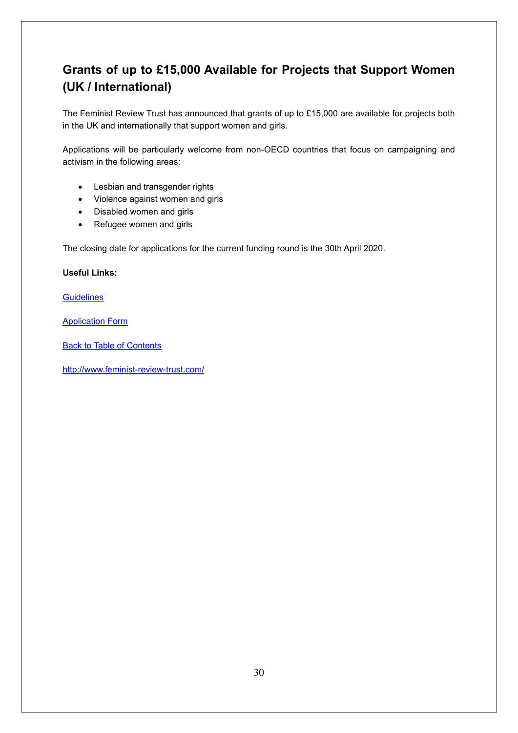## <span id="page-29-0"></span>**Grants of up to £15,000 Available for Projects that Support Women (UK / International)**

The Feminist Review Trust has announced that grants of up to £15,000 are available for projects both in the UK and internationally that support women and girls.

Applications will be particularly welcome from non-OECD countries that focus on campaigning and activism in the following areas:

- Lesbian and transgender rights
- Violence against women and girls
- Disabled women and girls
- Refugee women and girls

The closing date for applications for the current funding round is the 30th April 2020.

#### **Useful Links:**

**[Guidelines](http://www.feminist-review-trust.com/guidelines/)** 

[Application Form](http://www.feminist-review-trust.com/wp-content/uploads/2018/07/Application_Form.doc)

**Back to Table of Contents** 

<http://www.feminist-review-trust.com/>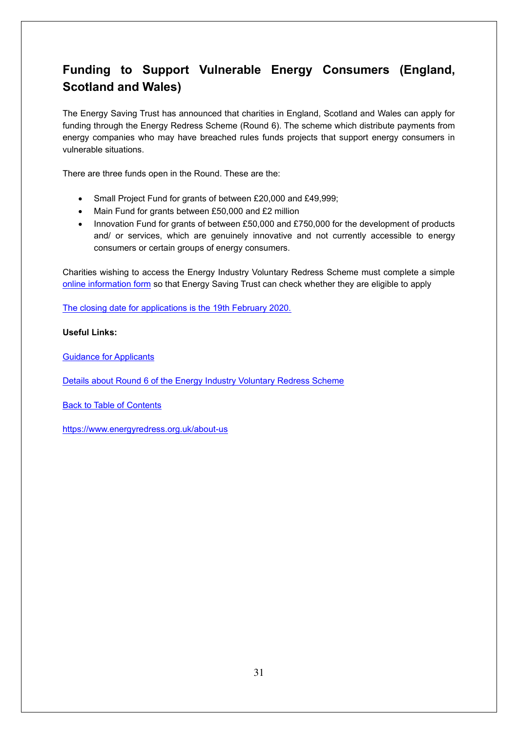## <span id="page-30-0"></span>**Funding to Support Vulnerable Energy Consumers (England, Scotland and Wales)**

The Energy Saving Trust has announced that charities in England, Scotland and Wales can apply for funding through the Energy Redress Scheme (Round 6). The scheme which distribute payments from energy companies who may have breached rules funds projects that support energy consumers in vulnerable situations.

There are three funds open in the Round. These are the:

- Small Project Fund for grants of between £20,000 and £49,999;
- Main Fund for grants between £50,000 and £2 million
- Innovation Fund for grants of between £50,000 and £750,000 for the development of products and/ or services, which are genuinely innovative and not currently accessible to energy consumers or certain groups of energy consumers.

Charities wishing to access the Energy Industry Voluntary Redress Scheme must complete a simple [online information form](https://energyredress.est.org.uk/apply) so that Energy Saving Trust can check whether they are eligible to apply

[The closing date for applications is the 19th February 2020.](https://www.grantsonline.org.uk/files/download/go/information-about-round-6.pdf)

#### **Useful Links:**

[Guidance for Applicants](https://www.energyredress.org.uk/sites/default/files/2020-01/Guidance%20for%20applicants%20Jan%202020.pdf)

[Details about Round 6 of the Energy Industry Voluntary Redress Scheme](https://www.grantsonline.org.uk/files/download/go/information-about-round-6.pdf)

Back to Table of Contents

<https://www.energyredress.org.uk/about-us>